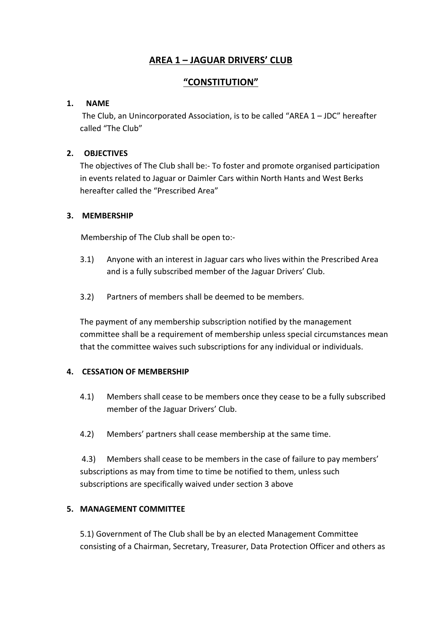# **AREA 1 – JAGUAR DRIVERS' CLUB**

# **"CONSTITUTION"**

# **1. NAME**

The Club, an Unincorporated Association, is to be called "AREA  $1 - JDC$ " hereafter called "The Club"

# **2. OBJECTIVES**

The objectives of The Club shall be:- To foster and promote organised participation in events related to Jaguar or Daimler Cars within North Hants and West Berks hereafter called the "Prescribed Area"

## **3. MEMBERSHIP**

Membership of The Club shall be open to:-

- 3.1) Anyone with an interest in Jaguar cars who lives within the Prescribed Area and is a fully subscribed member of the Jaguar Drivers' Club.
- 3.2) Partners of members shall be deemed to be members.

The payment of any membership subscription notified by the management committee shall be a requirement of membership unless special circumstances mean that the committee waives such subscriptions for any individual or individuals.

## **4. CESSATION OF MEMBERSHIP**

- 4.1) Members shall cease to be members once they cease to be a fully subscribed member of the Jaguar Drivers' Club.
- 4.2) Members' partners shall cease membership at the same time.

4.3) Members shall cease to be members in the case of failure to pay members' subscriptions as may from time to time be notified to them, unless such subscriptions are specifically waived under section 3 above

## **5. MANAGEMENT COMMITTEE**

5.1) Government of The Club shall be by an elected Management Committee consisting of a Chairman, Secretary, Treasurer, Data Protection Officer and others as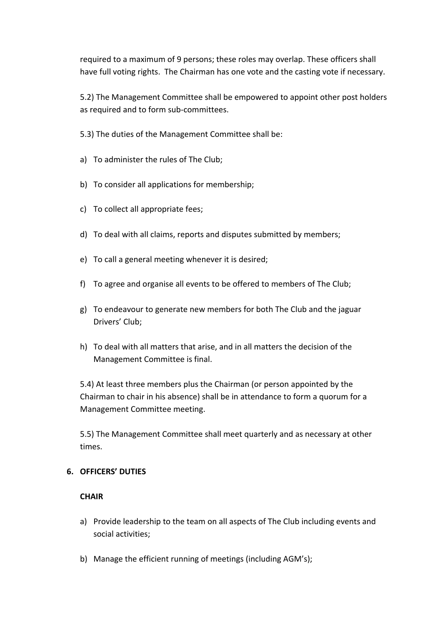required to a maximum of 9 persons; these roles may overlap. These officers shall have full voting rights. The Chairman has one vote and the casting vote if necessary.

5.2) The Management Committee shall be empowered to appoint other post holders as required and to form sub-committees.

5.3) The duties of the Management Committee shall be:

- a) To administer the rules of The Club;
- b) To consider all applications for membership;
- c) To collect all appropriate fees;
- d) To deal with all claims, reports and disputes submitted by members;
- e) To call a general meeting whenever it is desired;
- f) To agree and organise all events to be offered to members of The Club;
- g) To endeavour to generate new members for both The Club and the jaguar Drivers' Club;
- h) To deal with all matters that arise, and in all matters the decision of the Management Committee is final.

5.4) At least three members plus the Chairman (or person appointed by the Chairman to chair in his absence) shall be in attendance to form a quorum for a Management Committee meeting.

5.5) The Management Committee shall meet quarterly and as necessary at other times.

### **6. OFFICERS' DUTIES**

### **CHAIR**

- a) Provide leadership to the team on all aspects of The Club including events and social activities;
- b) Manage the efficient running of meetings (including AGM's);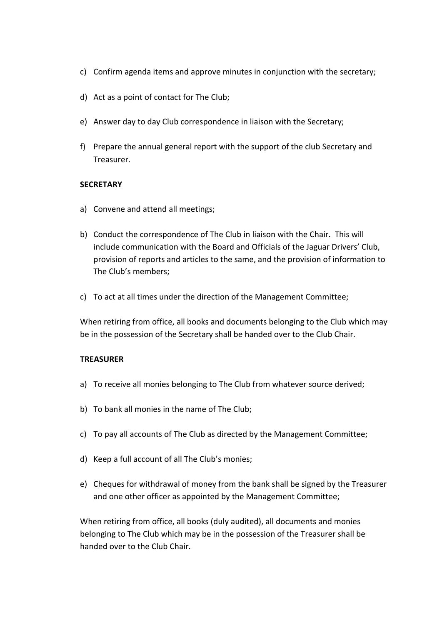- c) Confirm agenda items and approve minutes in conjunction with the secretary;
- d) Act as a point of contact for The Club;
- e) Answer day to day Club correspondence in liaison with the Secretary;
- f) Prepare the annual general report with the support of the club Secretary and Treasurer.

## **SECRETARY**

- a) Convene and attend all meetings;
- b) Conduct the correspondence of The Club in liaison with the Chair. This will include communication with the Board and Officials of the Jaguar Drivers' Club, provision of reports and articles to the same, and the provision of information to The Club's members;
- c) To act at all times under the direction of the Management Committee;

When retiring from office, all books and documents belonging to the Club which may be in the possession of the Secretary shall be handed over to the Club Chair.

### **TREASURER**

- a) To receive all monies belonging to The Club from whatever source derived;
- b) To bank all monies in the name of The Club;
- c) To pay all accounts of The Club as directed by the Management Committee;
- d) Keep a full account of all The Club's monies;
- e) Cheques for withdrawal of money from the bank shall be signed by the Treasurer and one other officer as appointed by the Management Committee;

When retiring from office, all books (duly audited), all documents and monies belonging to The Club which may be in the possession of the Treasurer shall be handed over to the Club Chair.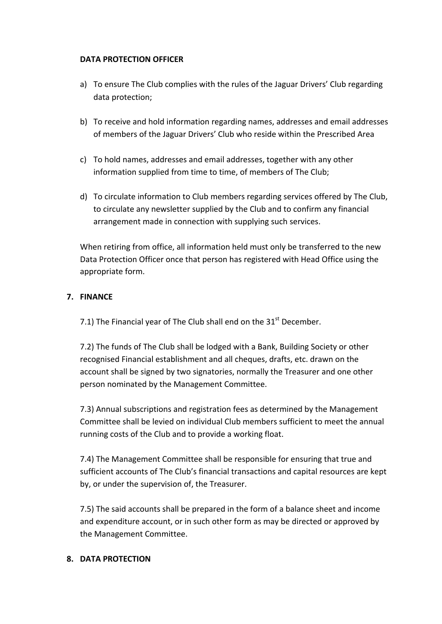## **DATA PROTECTION OFFICER**

- a) To ensure The Club complies with the rules of the Jaguar Drivers' Club regarding data protection;
- b) To receive and hold information regarding names, addresses and email addresses of members of the Jaguar Drivers' Club who reside within the Prescribed Area
- c) To hold names, addresses and email addresses, together with any other information supplied from time to time, of members of The Club;
- d) To circulate information to Club members regarding services offered by The Club, to circulate any newsletter supplied by the Club and to confirm any financial arrangement made in connection with supplying such services.

When retiring from office, all information held must only be transferred to the new Data Protection Officer once that person has registered with Head Office using the appropriate form.

## **7. FINANCE**

7.1) The Financial year of The Club shall end on the  $31<sup>st</sup>$  December.

7.2) The funds of The Club shall be lodged with a Bank, Building Society or other recognised Financial establishment and all cheques, drafts, etc. drawn on the account shall be signed by two signatories, normally the Treasurer and one other person nominated by the Management Committee.

7.3) Annual subscriptions and registration fees as determined by the Management Committee shall be levied on individual Club members sufficient to meet the annual running costs of the Club and to provide a working float.

7.4) The Management Committee shall be responsible for ensuring that true and sufficient accounts of The Club's financial transactions and capital resources are kept by, or under the supervision of, the Treasurer.

7.5) The said accounts shall be prepared in the form of a balance sheet and income and expenditure account, or in such other form as may be directed or approved by the Management Committee.

### **8. DATA PROTECTION**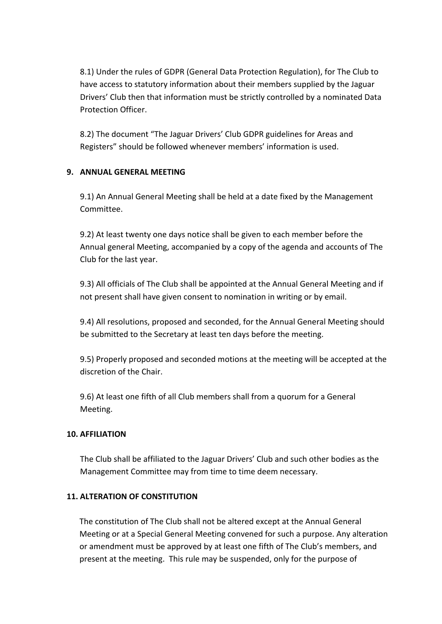8.1) Under the rules of GDPR (General Data Protection Regulation), for The Club to have access to statutory information about their members supplied by the Jaguar Drivers' Club then that information must be strictly controlled by a nominated Data Protection Officer.

8.2) The document "The Jaguar Drivers' Club GDPR guidelines for Areas and Registers" should be followed whenever members' information is used.

# **9. ANNUAL GENERAL MEETING**

9.1) An Annual General Meeting shall be held at a date fixed by the Management Committee.

9.2) At least twenty one days notice shall be given to each member before the Annual general Meeting, accompanied by a copy of the agenda and accounts of The Club for the last year.

9.3) All officials of The Club shall be appointed at the Annual General Meeting and if not present shall have given consent to nomination in writing or by email.

9.4) All resolutions, proposed and seconded, for the Annual General Meeting should be submitted to the Secretary at least ten days before the meeting.

9.5) Properly proposed and seconded motions at the meeting will be accepted at the discretion of the Chair.

9.6) At least one fifth of all Club members shall from a quorum for a General Meeting.

## **10. AFFILIATION**

The Club shall be affiliated to the Jaguar Drivers' Club and such other bodies as the Management Committee may from time to time deem necessary.

## **11. ALTERATION OF CONSTITUTION**

The constitution of The Club shall not be altered except at the Annual General Meeting or at a Special General Meeting convened for such a purpose. Any alteration or amendment must be approved by at least one fifth of The Club's members, and present at the meeting. This rule may be suspended, only for the purpose of